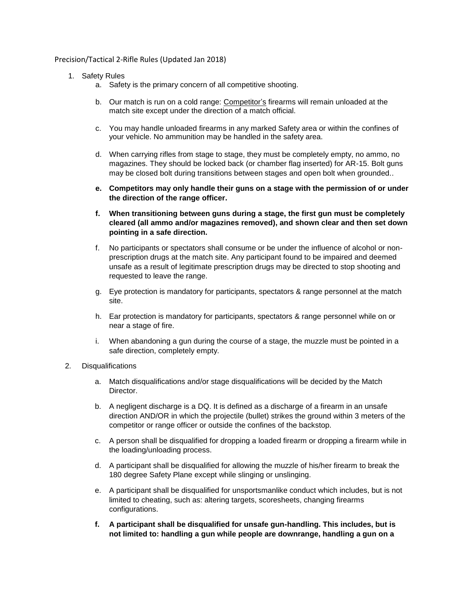Precision/Tactical 2-Rifle Rules (Updated Jan 2018)

- 1. Safety Rules
	- a. Safety is the primary concern of all competitive shooting.
	- b. Our match is run on a cold range: Competitor's firearms will remain unloaded at the match site except under the direction of a match official.
	- c. You may handle unloaded firearms in any marked Safety area or within the confines of your vehicle. No ammunition may be handled in the safety area.
	- d. When carrying rifles from stage to stage, they must be completely empty, no ammo, no magazines. They should be locked back (or chamber flag inserted) for AR-15. Bolt guns may be closed bolt during transitions between stages and open bolt when grounded..
	- **e. Competitors may only handle their guns on a stage with the permission of or under the direction of the range officer.**
	- **f. When transitioning between guns during a stage, the first gun must be completely cleared (all ammo and/or magazines removed), and shown clear and then set down pointing in a safe direction.**
	- f. No participants or spectators shall consume or be under the influence of alcohol or nonprescription drugs at the match site. Any participant found to be impaired and deemed unsafe as a result of legitimate prescription drugs may be directed to stop shooting and requested to leave the range.
	- g. Eye protection is mandatory for participants, spectators & range personnel at the match site.
	- h. Ear protection is mandatory for participants, spectators & range personnel while on or near a stage of fire.
	- i. When abandoning a gun during the course of a stage, the muzzle must be pointed in a safe direction, completely empty.
- 2. Disqualifications
	- a. Match disqualifications and/or stage disqualifications will be decided by the Match Director.
	- b. A negligent discharge is a DQ. It is defined as a discharge of a firearm in an unsafe direction AND/OR in which the projectile (bullet) strikes the ground within 3 meters of the competitor or range officer or outside the confines of the backstop.
	- c. A person shall be disqualified for dropping a loaded firearm or dropping a firearm while in the loading/unloading process.
	- d. A participant shall be disqualified for allowing the muzzle of his/her firearm to break the 180 degree Safety Plane except while slinging or unslinging.
	- e. A participant shall be disqualified for unsportsmanlike conduct which includes, but is not limited to cheating, such as: altering targets, scoresheets, changing firearms configurations.
	- **f. A participant shall be disqualified for unsafe gun-handling. This includes, but is not limited to: handling a gun while people are downrange, handling a gun on a**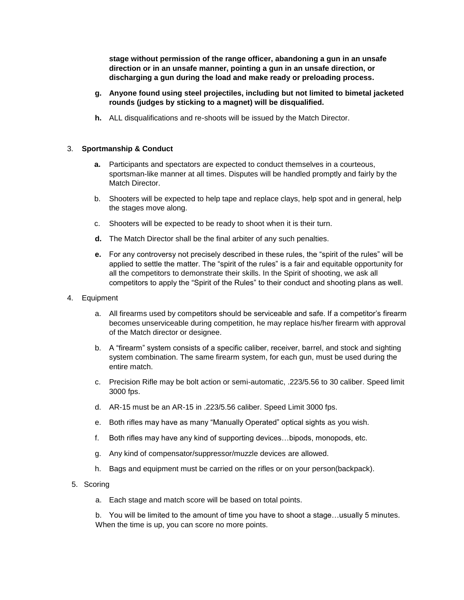**stage without permission of the range officer, abandoning a gun in an unsafe direction or in an unsafe manner, pointing a gun in an unsafe direction, or discharging a gun during the load and make ready or preloading process.**

- **g. Anyone found using steel projectiles, including but not limited to bimetal jacketed rounds (judges by sticking to a magnet) will be disqualified.**
- **h.** ALL disqualifications and re-shoots will be issued by the Match Director.

## 3. **Sportmanship & Conduct**

- **a.** Participants and spectators are expected to conduct themselves in a courteous, sportsman-like manner at all times. Disputes will be handled promptly and fairly by the Match Director.
- b. Shooters will be expected to help tape and replace clays, help spot and in general, help the stages move along.
- c. Shooters will be expected to be ready to shoot when it is their turn.
- **d.** The Match Director shall be the final arbiter of any such penalties.
- **e.** For any controversy not precisely described in these rules, the "spirit of the rules" will be applied to settle the matter. The "spirit of the rules" is a fair and equitable opportunity for all the competitors to demonstrate their skills. In the Spirit of shooting, we ask all competitors to apply the "Spirit of the Rules" to their conduct and shooting plans as well.
- 4. Equipment
	- a. All firearms used by competitors should be serviceable and safe. If a competitor's firearm becomes unserviceable during competition, he may replace his/her firearm with approval of the Match director or designee.
	- b. A "firearm" system consists of a specific caliber, receiver, barrel, and stock and sighting system combination. The same firearm system, for each gun, must be used during the entire match.
	- c. Precision Rifle may be bolt action or semi-automatic, .223/5.56 to 30 caliber. Speed limit 3000 fps.
	- d. AR-15 must be an AR-15 in .223/5.56 caliber. Speed Limit 3000 fps.
	- e. Both rifles may have as many "Manually Operated" optical sights as you wish.
	- f. Both rifles may have any kind of supporting devices…bipods, monopods, etc.
	- g. Any kind of compensator/suppressor/muzzle devices are allowed.
	- h. Bags and equipment must be carried on the rifles or on your person(backpack).
- 5. Scoring
	- a. Each stage and match score will be based on total points.

b. You will be limited to the amount of time you have to shoot a stage…usually 5 minutes. When the time is up, you can score no more points.